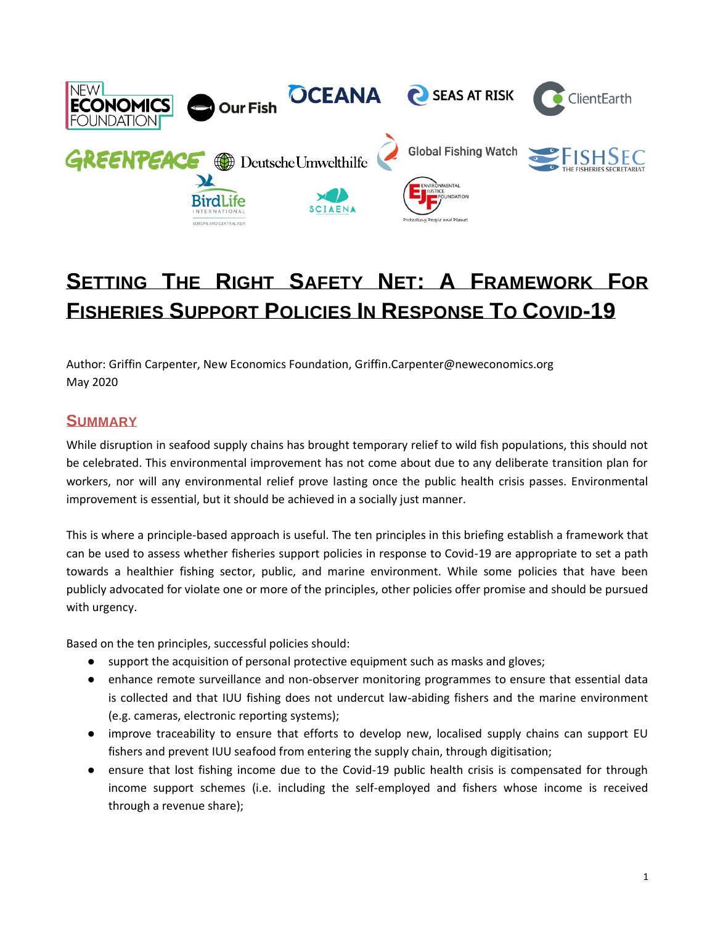

# **SETTING THE RIGHT SAFETY NET: A FRAMEWORK FOR FISHERIES SUPPORT POLICIES IN RESPONSE TO COVID-19**

Author: Griffin Carpenter, New Economics Foundation, Griffin.Carpenter@neweconomics.org May 2020

# **SUMMARY**

While disruption in seafood supply chains has brought temporary relief to wild fish populations, this should not be celebrated. This environmental improvement has not come about due to any deliberate transition plan for workers, nor will any environmental relief prove lasting once the public health crisis passes. Environmental improvement is essential, but it should be achieved in a socially just manner.

This is where a principle-based approach is useful. The ten principles in this briefing establish a framework that can be used to assess whether fisheries support policies in response to Covid-19 are appropriate to set a path towards a healthier fishing sector, public, and marine environment. While some policies that have been publicly advocated for violate one or more of the principles, other policies offer promise and should be pursued with urgency.

Based on the ten principles, successful policies should:

- support the acquisition of personal protective equipment such as masks and gloves;
- enhance remote surveillance and non-observer monitoring programmes to ensure that essential data is collected and that IUU fishing does not undercut law-abiding fishers and the marine environment (e.g. cameras, electronic reporting systems);
- improve traceability to ensure that efforts to develop new, localised supply chains can support EU fishers and prevent IUU seafood from entering the supply chain, through digitisation;
- ensure that lost fishing income due to the Covid-19 public health crisis is compensated for through income support schemes (i.e. including the self-employed and fishers whose income is received through a revenue share);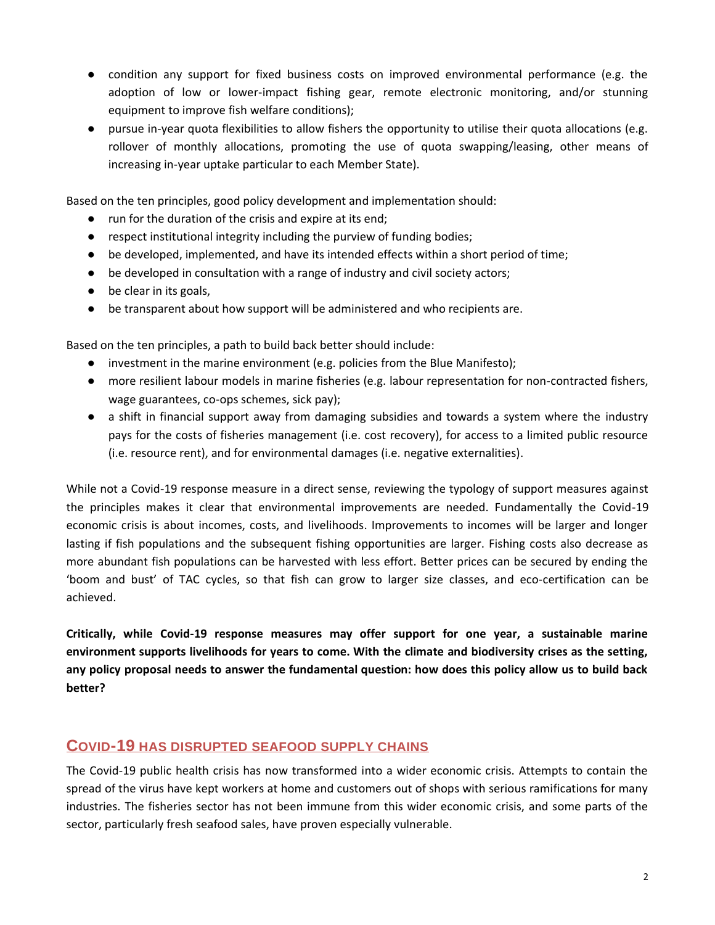- condition any support for fixed business costs on improved environmental performance (e.g. the adoption of low or lower-impact fishing gear, remote electronic monitoring, and/or stunning equipment to improve fish welfare conditions);
- pursue in-year quota flexibilities to allow fishers the opportunity to utilise their quota allocations (e.g. rollover of monthly allocations, promoting the use of quota swapping/leasing, other means of increasing in-year uptake particular to each Member State).

Based on the ten principles, good policy development and implementation should:

- run for the duration of the crisis and expire at its end;
- respect institutional integrity including the purview of funding bodies;
- be developed, implemented, and have its intended effects within a short period of time;
- be developed in consultation with a range of industry and civil society actors;
- be clear in its goals,
- be transparent about how support will be administered and who recipients are.

Based on the ten principles, a path to build back better should include:

- investment in the marine environment (e.g. policies from the Blue Manifesto);
- more resilient labour models in marine fisheries (e.g. labour representation for non-contracted fishers, wage guarantees, co-ops schemes, sick pay);
- a shift in financial support away from damaging subsidies and towards a system where the industry pays for the costs of fisheries management (i.e. cost recovery), for access to a limited public resource (i.e. resource rent), and for environmental damages (i.e. negative externalities).

While not a Covid-19 response measure in a direct sense, reviewing the typology of support measures against the principles makes it clear that environmental improvements are needed. Fundamentally the Covid-19 economic crisis is about incomes, costs, and livelihoods. Improvements to incomes will be larger and longer lasting if fish populations and the subsequent fishing opportunities are larger. Fishing costs also decrease as more abundant fish populations can be harvested with less effort. Better prices can be secured by ending the 'boom and bust' of TAC cycles, so that fish can grow to larger size classes, and eco-certification can be achieved.

**Critically, while Covid-19 response measures may offer support for one year, a sustainable marine environment supports livelihoods for years to come. With the climate and biodiversity crises as the setting, any policy proposal needs to answer the fundamental question: how does this policy allow us to build back better?**

# **COVID-19 HAS DISRUPTED SEAFOOD SUPPLY CHAINS**

The Covid-19 public health crisis has now transformed into a wider economic crisis. Attempts to contain the spread of the virus have kept workers at home and customers out of shops with serious ramifications for many industries. The fisheries sector has not been immune from this wider economic crisis, and some parts of the sector, particularly fresh seafood sales, have proven especially vulnerable.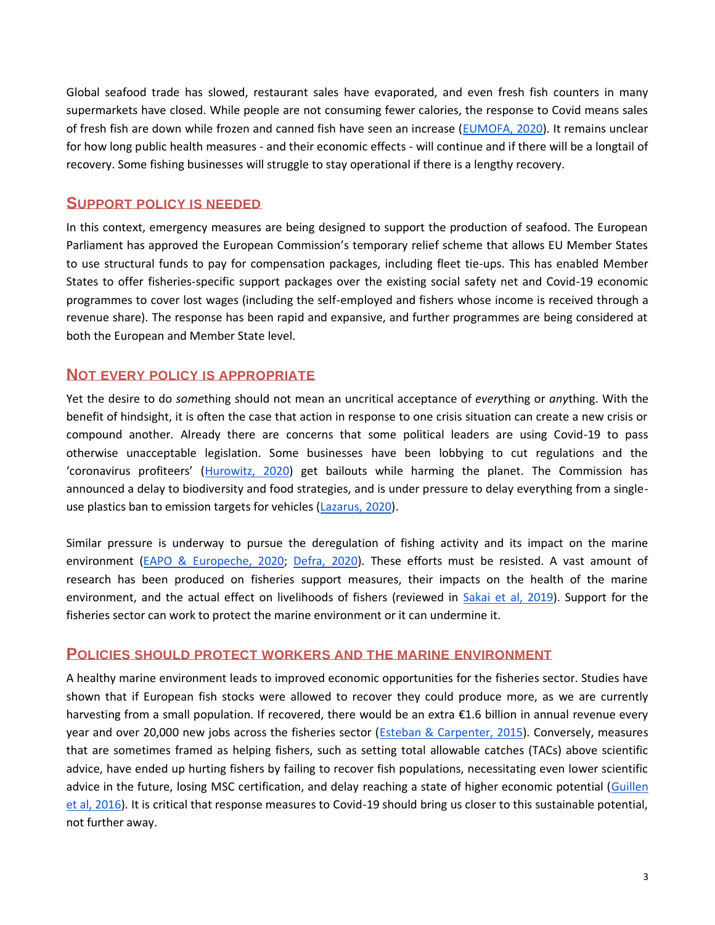Global seafood trade has slowed, restaurant sales have evaporated, and even fresh fish counters in many supermarkets have closed. While people are not consuming fewer calories, the response to Covid means sales of fresh fish are down while frozen and canned fish have seen an increase [\(EUMOFA, 2020\)](https://www.eumofa.eu/data). It remains unclear for how long public health measures - and their economic effects - will continue and if there will be a longtail of recovery. Some fishing businesses will struggle to stay operational if there is a lengthy recovery.

### **SUPPORT POLICY IS NEEDED**

In this context, emergency measures are being designed to support the production of seafood. The European Parliament has approved the European Commission's temporary relief scheme that allows EU Member States to use structural funds to pay for compensation packages, including fleet tie-ups. This has enabled Member States to offer fisheries-specific support packages over the existing social safety net and Covid-19 economic programmes to cover lost wages (including the self-employed and fishers whose income is received through a revenue share). The response has been rapid and expansive, and further programmes are being considered at both the European and Member State level.

## **NOT EVERY POLICY IS APPROPRIATE**

Yet the desire to do *some*thing should not mean an uncritical acceptance of *every*thing or *any*thing. With the benefit of hindsight, it is often the case that action in response to one crisis situation can create a new crisis or compound another. Already there are concerns that some political leaders are using Covid-19 to pass otherwise unacceptable legislation. Some businesses have been lobbying to cut regulations and the 'coronavirus profiteers' ([Hurowitz, 2020\)](https://stories.mightyearth.org/the-coronavirus-climate-profiteers/index.html) get bailouts while harming the planet. The Commission has announced a delay to biodiversity and food strategies, and is under pressure to delay everything from a single-use plastics ban to emission targets for vehicles [\(Lazarus, 2020\)](https://meta.eeb.org/2020/04/16/5-ways-opportunistic-lobbyists-are-using-coronavirus-to-attack-eu-environmental-laws/).

Similar pressure is underway to pursue the deregulation of fishing activity and its impact on the marine environment [\(EAPO & Europeche, 2020;](http://europeche.chil.me/attachment/467b47ab-150a-4ef5-b397-f36c309a2d0b) [Defra, 2020\)](https://www.surveymonkey.co.uk/survey-closed/?sm=tVzIXx9ojYttMNxNPgzpNOuGyHILiYqw08y457beygEG0irh4nLfc9FILAKxXaFTKW6sfb6CR_2FW387n5DoMsD_2FzeUu7PBkSZ3GEi6gG7K2o_3D). These efforts must be resisted. A vast amount of research has been produced on fisheries support measures, their impacts on the health of the marine environment, and the actual effect on livelihoods of fishers (reviewed in [Sakai et al, 2019\)](https://link.springer.com/article/10.1007/s12562-019-01306-2). Support for the fisheries sector can work to protect the marine environment or it can undermine it.

#### **POLICIES SHOULD PROTECT WORKERS AND THE MARINE ENVIRONMENT**

A healthy marine environment leads to improved economic opportunities for the fisheries sector. Studies have shown that if European fish stocks were allowed to recover they could produce more, as we are currently harvesting from a small population. If recovered, there would be an extra €1.6 billion in annual revenue every year and over 20,000 new jobs across the fisheries sector [\(Esteban & Carpenter, 2015\)](https://neweconomics.org/2015/03/managing-eu-fisheries-in-the-public-interest). Conversely, measures that are sometimes framed as helping fishers, such as setting total allowable catches (TACs) above scientific advice, have ended up hurting fishers by failing to recover fish populations, necessitating even lower scientific advice in the future, losing MSC certification, and delay reaching a state of higher economic potential [\(Guillen](https://www.sciencedirect.com/science/article/pii/S0308597X1630149X)  [et al, 2016\)](https://www.sciencedirect.com/science/article/pii/S0308597X1630149X). It is critical that response measures to Covid-19 should bring us closer to this sustainable potential, not further away.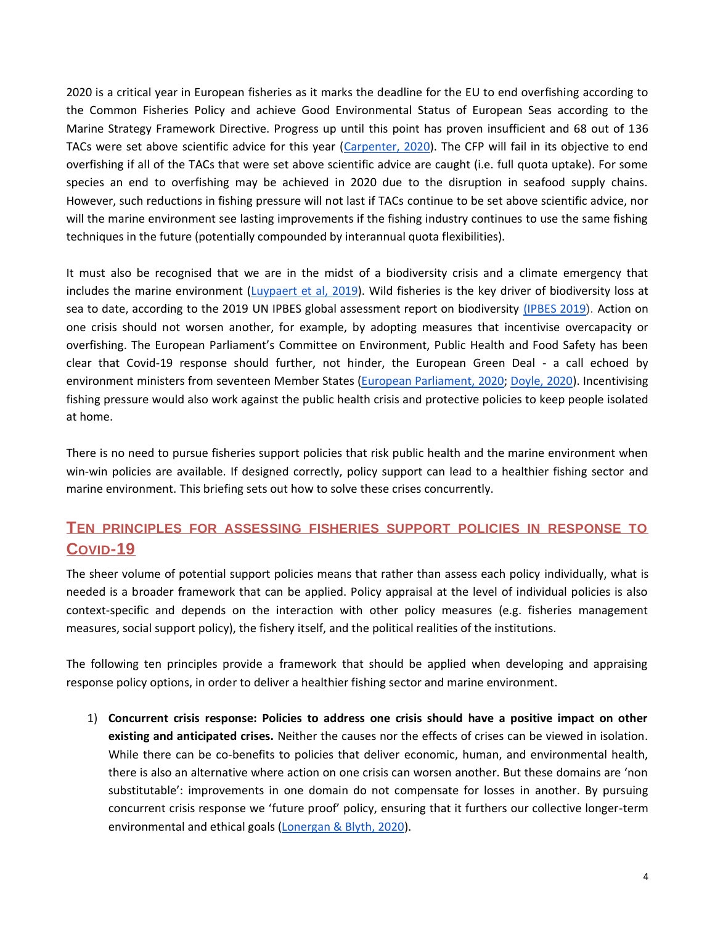2020 is a critical year in European fisheries as it marks the deadline for the EU to end overfishing according to the Common Fisheries Policy and achieve Good Environmental Status of European Seas according to the Marine Strategy Framework Directive. Progress up until this point has proven insufficient and 68 out of 136 TACs were set above scientific advice for this year [\(Carpenter, 2020\)](https://neweconomics.org/2020/03/landing-the-blame-overfishing-in-the-northeast-atlantic-2020). The CFP will fail in its objective to end overfishing if all of the TACs that were set above scientific advice are caught (i.e. full quota uptake). For some species an end to overfishing may be achieved in 2020 due to the disruption in seafood supply chains. However, such reductions in fishing pressure will not last if TACs continue to be set above scientific advice, nor will the marine environment see lasting improvements if the fishing industry continues to use the same fishing techniques in the future (potentially compounded by interannual quota flexibilities).

It must also be recognised that we are in the midst of a biodiversity crisis and a climate emergency that includes the marine environment [\(Luypaert et al, 2019\)](https://link.springer.com/chapter/10.1007/978-3-030-20389-4_4). Wild fisheries is the key driver of biodiversity loss at sea to date, according to the 2019 [UN IPBES global assessment report on biodiversity](https://ipbes.net/global-assessment) [\(IPBES 2019](https://ipbes.net/global-assessment)). Action on one crisis should not worsen another, for example, by adopting measures that incentivise overcapacity or overfishing. The European Parliament's Committee on Environment, Public Health and Food Safety has been clear that Covid-19 response should further, not hinder, the European Green Deal - a call echoed by environment ministers from seventeen Member States [\(European Parliament, 2020;](https://www.europarl.europa.eu/news/en/press-room/20200419IPR77407/eu-covid-19-recovery-plan-must-be-green-and-ambitious-say-meps) [Doyle, 2020\)](https://www.climatechangenews.com/2020/04/20/four-eu-nations-back-green-post-coronavirus-recovery/). Incentivising fishing pressure would also work against the public health crisis and protective policies to keep people isolated at home.

There is no need to pursue fisheries support policies that risk public health and the marine environment when win-win policies are available. If designed correctly, policy support can lead to a healthier fishing sector and marine environment. This briefing sets out how to solve these crises concurrently.

# **TEN PRINCIPLES FOR ASSESSING FISHERIES SUPPORT POLICIES IN RESPONSE TO COVID-19**

The sheer volume of potential support policies means that rather than assess each policy individually, what is needed is a broader framework that can be applied. Policy appraisal at the level of individual policies is also context-specific and depends on the interaction with other policy measures (e.g. fisheries management measures, social support policy), the fishery itself, and the political realities of the institutions.

The following ten principles provide a framework that should be applied when developing and appraising response policy options, in order to deliver a healthier fishing sector and marine environment.

1) **Concurrent crisis response: Policies to address one crisis should have a positive impact on other existing and anticipated crises.** Neither the causes nor the effects of crises can be viewed in isolation. While there can be co-benefits to policies that deliver economic, human, and environmental health, there is also an alternative where action on one crisis can worsen another. But these domains are 'non substitutable': improvements in one domain do not compensate for losses in another. By pursuing concurrent crisis response we 'future proof' policy, ensuring that it furthers our collective longer-term environmental and ethical goals [\(Lonergan & Blyth, 2020\)](https://www.ippr.org/research/publications/beyond-bailouts).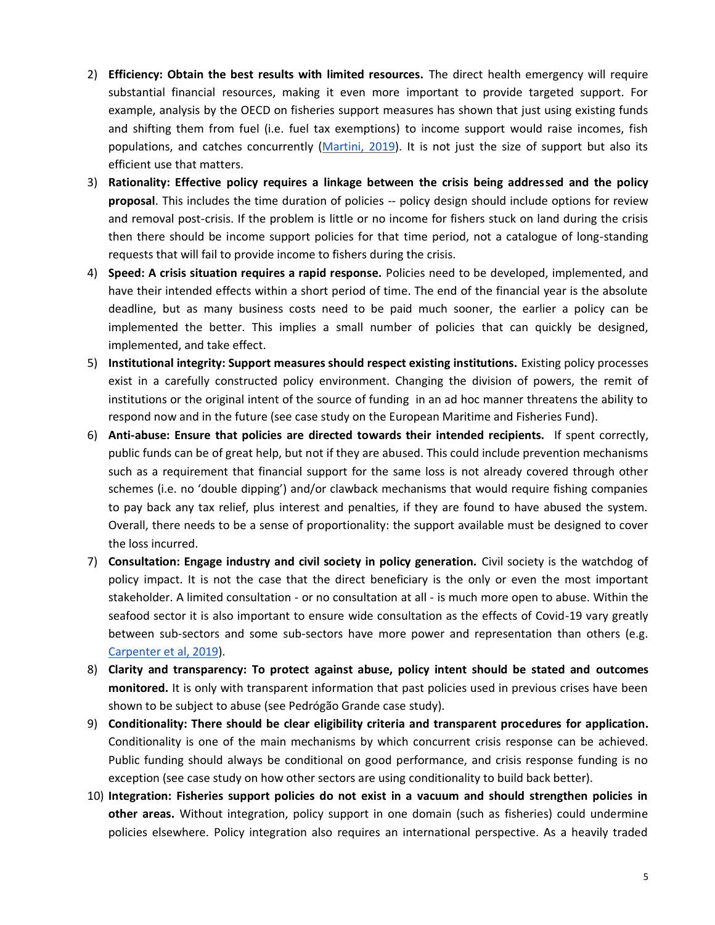- 2) **Efficiency: Obtain the best results with limited resources.** The direct health emergency will require substantial financial resources, making it even more important to provide targeted support. For example, analysis by the OECD on fisheries support measures has shown that just using existing funds and shifting them from fuel (i.e. fuel tax exemptions) to income support would raise incomes, fish populations, and catches concurrently [\(Martini, 2019\)](https://www.oecd.org/agriculture/government-subsidies-overfishing/). It is not just the size of support but also its efficient use that matters.
- 3) **Rationality: Effective policy requires a linkage between the crisis being addressed and the policy proposal**. This includes the time duration of policies -- policy design should include options for review and removal post-crisis. If the problem is little or no income for fishers stuck on land during the crisis then there should be income support policies for that time period, not a catalogue of long-standing requests that will fail to provide income to fishers during the crisis.
- 4) **Speed: A crisis situation requires a rapid response.** Policies need to be developed, implemented, and have their intended effects within a short period of time. The end of the financial year is the absolute deadline, but as many business costs need to be paid much sooner, the earlier a policy can be implemented the better. This implies a small number of policies that can quickly be designed, implemented, and take effect.
- 5) **Institutional integrity: Support measures should respect existing institutions.** Existing policy processes exist in a carefully constructed policy environment. Changing the division of powers, the remit of institutions or the original intent of the source of funding in an ad hoc manner threatens the ability to respond now and in the future (see case study on the European Maritime and Fisheries Fund).
- 6) **Anti-abuse: Ensure that policies are directed towards their intended recipients.** If spent correctly, public funds can be of great help, but not if they are abused. This could include prevention mechanisms such as a requirement that financial support for the same loss is not already covered through other schemes (i.e. no 'double dipping') and/or clawback mechanisms that would require fishing companies to pay back any tax relief, plus interest and penalties, if they are found to have abused the system. Overall, there needs to be a sense of proportionality: the support available must be designed to cover the loss incurred.
- 7) **Consultation: Engage industry and civil society in policy generation.** Civil society is the watchdog of policy impact. It is not the case that the direct beneficiary is the only or even the most important stakeholder. A limited consultation - or no consultation at all - is much more open to abuse. Within the seafood sector it is also important to ensure wide consultation as the effects of Covid-19 vary greatly between sub-sectors and some sub-sectors have more power and representation than others (e.g. [Carpenter et al, 2019\)](https://neweconomics.org/2019/09/media-capture-in-uk-fisheries).
- 8) **Clarity and transparency: To protect against abuse, policy intent should be stated and outcomes monitored.** It is only with transparent information that past policies used in previous crises have been shown to be subject to abuse (see Pedrógão Grande case study).
- 9) **Conditionality: There should be clear eligibility criteria and transparent procedures for application.**  Conditionality is one of the main mechanisms by which concurrent crisis response can be achieved. Public funding should always be conditional on good performance, and crisis response funding is no exception (see case study on how other sectors are using conditionality to build back better).
- 10) **Integration: Fisheries support policies do not exist in a vacuum and should strengthen policies in other areas.** Without integration, policy support in one domain (such as fisheries) could undermine policies elsewhere. Policy integration also requires an international perspective. As a heavily traded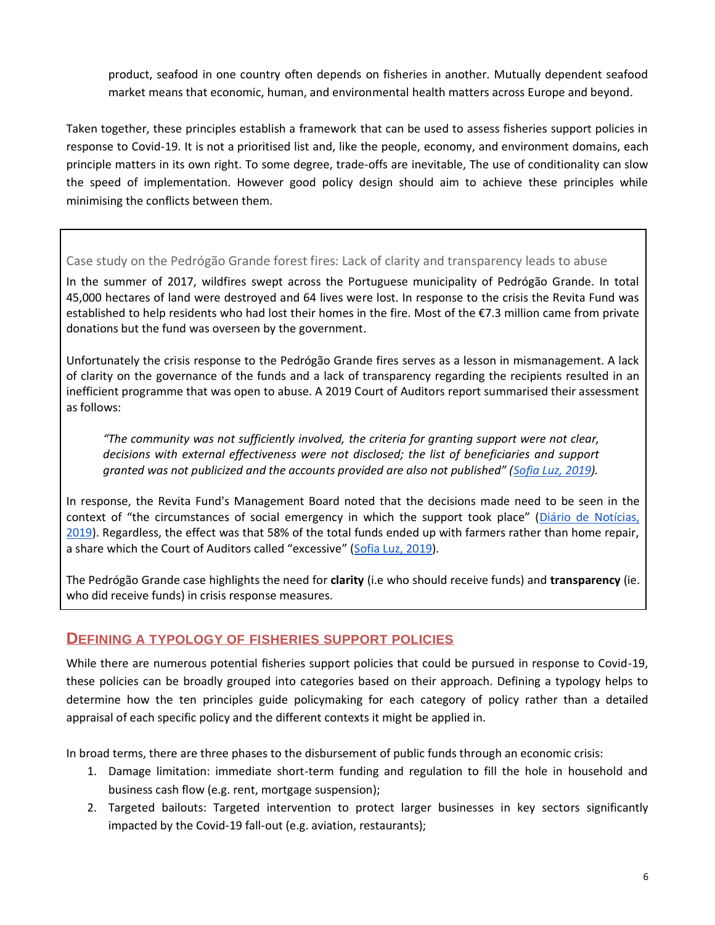product, seafood in one country often depends on fisheries in another. Mutually dependent seafood market means that economic, human, and environmental health matters across Europe and beyond.

Taken together, these principles establish a framework that can be used to assess fisheries support policies in response to Covid-19. It is not a prioritised list and, like the people, economy, and environment domains, each principle matters in its own right. To some degree, trade-offs are inevitable, The use of conditionality can slow the speed of implementation. However good policy design should aim to achieve these principles while minimising the conflicts between them.

#### Case study on the Pedrógão Grande forest fires: Lack of clarity and transparency leads to abuse

In the summer of 2017, wildfires swept across the Portuguese municipality of Pedrógão Grande. In total 45,000 hectares of land were destroyed and 64 lives were lost. In response to the crisis the Revita Fund was established to help residents who had lost their homes in the fire. Most of the €7.3 million came from private donations but the fund was overseen by the government.

Unfortunately the crisis response to the Pedrógão Grande fires serves as a lesson in mismanagement. A lack of clarity on the governance of the funds and a lack of transparency regarding the recipients resulted in an inefficient programme that was open to abuse. A 2019 Court of Auditors report summarised their assessment as follows:

*"The community was not sufficiently involved, the criteria for granting support were not clear, decisions with external effectiveness were not disclosed; the list of beneficiaries and support granted was not publicized and the accounts provided are also not published" ([Sofia Luz, 2019\)](https://www.dn.pt/pais/-tribunal-de-contas-aponta-falta-de-transparencia-na-gestao-do-dinheiro-para-reconstruir-casas-11127902.html).*

In response, the Revita Fund's Management Board noted that the decisions made need to be seen in the context of "the circumstances of social emergency in which the support took place" ([Diário de Notícias,](https://www.dn.pt/pais/observacoes-do-tribunal-de-contas-sao-imprecisas-e-incorretas-segundo-conselho-de-gestao-do-revita--11128324.html)  [2019\)](https://www.dn.pt/pais/observacoes-do-tribunal-de-contas-sao-imprecisas-e-incorretas-segundo-conselho-de-gestao-do-revita--11128324.html). Regardless, the effect was that 58% of the total funds ended up with farmers rather than home repair, a share which the Court of Auditors called "excessive" ([Sofia Luz, 2019\)](https://www.dn.pt/pais/-tribunal-de-contas-aponta-falta-de-transparencia-na-gestao-do-dinheiro-para-reconstruir-casas-11127902.html).

The Pedrógão Grande case highlights the need for **clarity** (i.e who should receive funds) and **transparency** (ie. who did receive funds) in crisis response measures.

#### **DEFINING A TYPOLOGY OF FISHERIES SUPPORT POLICIES**

While there are numerous potential fisheries support policies that could be pursued in response to Covid-19, these policies can be broadly grouped into categories based on their approach. Defining a typology helps to determine how the ten principles guide policymaking for each category of policy rather than a detailed appraisal of each specific policy and the different contexts it might be applied in.

In broad terms, there are three phases to the disbursement of public funds through an economic crisis:

- 1. Damage limitation: immediate short-term funding and regulation to fill the hole in household and business cash flow (e.g. rent, mortgage suspension);
- 2. Targeted bailouts: Targeted intervention to protect larger businesses in key sectors significantly impacted by the Covid-19 fall-out (e.g. aviation, restaurants);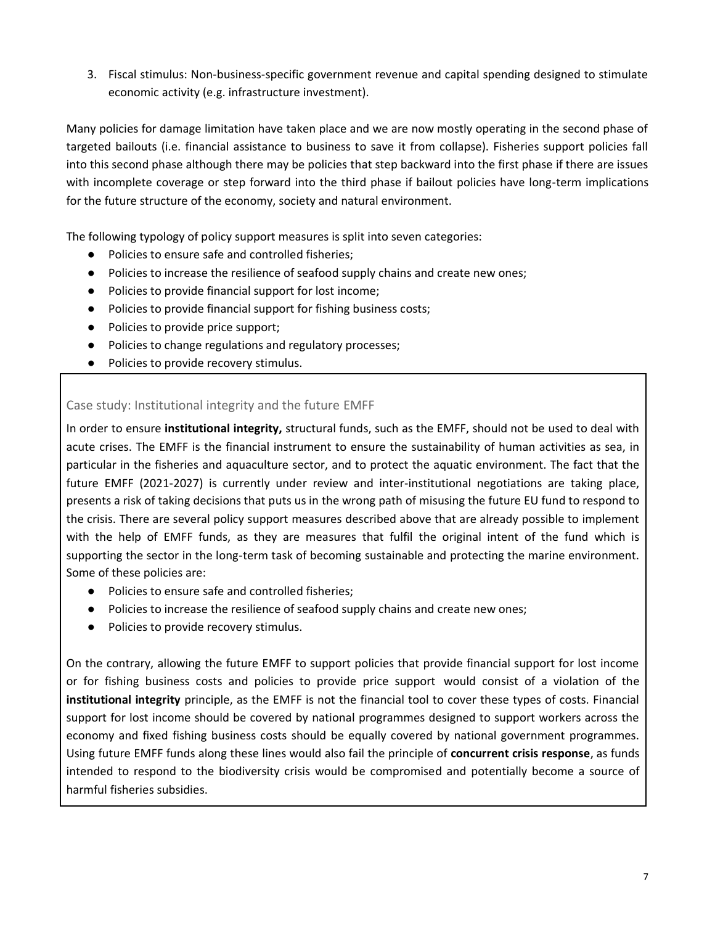3. Fiscal stimulus: Non-business-specific government revenue and capital spending designed to stimulate economic activity (e.g. infrastructure investment).

Many policies for damage limitation have taken place and we are now mostly operating in the second phase of targeted bailouts (i.e. financial assistance to business to save it from collapse). Fisheries support policies fall into this second phase although there may be policies that step backward into the first phase if there are issues with incomplete coverage or step forward into the third phase if bailout policies have long-term implications for the future structure of the economy, society and natural environment.

The following typology of policy support measures is split into seven categories:

- Policies to ensure safe and controlled fisheries;
- Policies to increase the resilience of seafood supply chains and create new ones;
- Policies to provide financial support for lost income;
- Policies to provide financial support for fishing business costs;
- Policies to provide price support;
- Policies to change regulations and regulatory processes;
- Policies to provide recovery stimulus.

#### Case study: Institutional integrity and the future EMFF

In order to ensure **institutional integrity,** structural funds, such as the EMFF, should not be used to deal with acute crises. The EMFF is the financial instrument to ensure the sustainability of human activities as sea, in particular in the fisheries and aquaculture sector, and to protect the aquatic environment. The fact that the future EMFF (2021-2027) is currently under review and inter-institutional negotiations are taking place, presents a risk of taking decisions that puts us in the wrong path of misusing the future EU fund to respond to the crisis. There are several policy support measures described above that are already possible to implement with the help of EMFF funds, as they are measures that fulfil the original intent of the fund which is supporting the sector in the long-term task of becoming sustainable and protecting the marine environment. Some of these policies are:

- Policies to ensure safe and controlled fisheries;
- Policies to increase the resilience of seafood supply chains and create new ones;
- Policies to provide recovery stimulus.

On the contrary, allowing the future EMFF to support policies that provide financial support for lost income or for fishing business costs and policies to provide price support would consist of a violation of the **institutional integrity** principle, as the EMFF is not the financial tool to cover these types of costs. Financial support for lost income should be covered by national programmes designed to support workers across the economy and fixed fishing business costs should be equally covered by national government programmes. Using future EMFF funds along these lines would also fail the principle of **concurrent crisis response**, as funds intended to respond to the biodiversity crisis would be compromised and potentially become a source of harmful fisheries subsidies.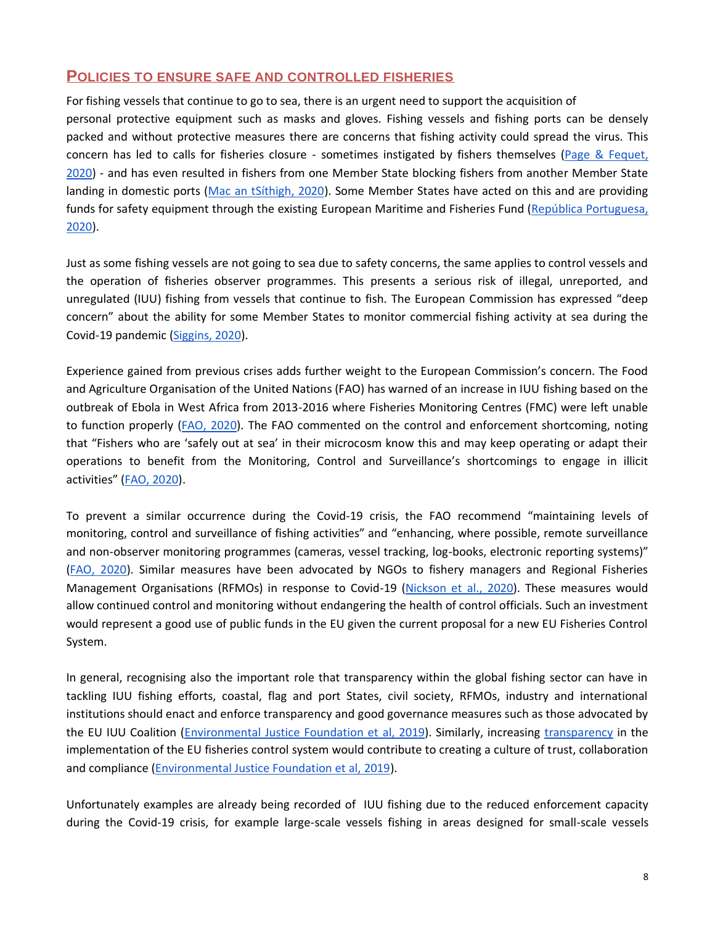## **POLICIES TO ENSURE SAFE AND CONTROLLED FISHERIES**

For fishing vessels that continue to go to sea, there is an urgent need to support the acquisition of personal protective equipment such as masks and gloves. Fishing vessels and fishing ports can be densely packed and without protective measures there are concerns that fishing activity could spread the virus. This concern has led to calls for fisheries closure - sometimes instigated by fishers themselves [\(Page & Fequet,](https://www.cbc.ca/news/canada/montreal/covid-19-fishing-season-could-be-postponed-quebec-1.5524919)  [2020\)](https://www.cbc.ca/news/canada/montreal/covid-19-fishing-season-could-be-postponed-quebec-1.5524919) - and has even resulted in fishers from one Member State blocking fishers from another Member State landing in domestic ports [\(Mac an tSíthigh, 2020\)](https://www.rte.ie/news/ireland/2020/0419/1132507-fishermen-blockade/). Some Member States have acted on this and are providing funds for safety equipment through the existing European Maritime and Fisheries Fund [\(República Portuguesa,](https://www.portugal.gov.pt/pt/gc22/comunicacao/noticia?i=apoio-as-medidas-de-protecao-contra-a-covid-19-nas-pescas-e-aquicultura)  [2020\)](https://www.portugal.gov.pt/pt/gc22/comunicacao/noticia?i=apoio-as-medidas-de-protecao-contra-a-covid-19-nas-pescas-e-aquicultura).

Just as some fishing vessels are not going to sea due to safety concerns, the same applies to control vessels and the operation of fisheries observer programmes. This presents a serious risk of illegal, unreported, and unregulated (IUU) fishing from vessels that continue to fish. The European Commission has expressed "deep concern" about the ability for some Member States to monitor commercial fishing activity at sea during the Covid-19 pandemic [\(Siggins, 2020\)](https://www.thetimes.co.uk/edition/ireland/brussels-angling-for-reinstatement-of-closer-checks-on-trawler-catches-kns32bxfd).

Experience gained from previous crises adds further weight to the European Commission's concern. The Food and Agriculture Organisation of the United Nations (FAO) has warned of an increase in IUU fishing based on the outbreak of Ebola in West Africa from 2013-2016 where Fisheries Monitoring Centres (FMC) were left unable to function properly [\(FAO, 2020\)](http://www.fao.org/3/ca8637en/CA8637EN.pdf). The FAO commented on the control and enforcement shortcoming, noting that "Fishers who are 'safely out at sea' in their microcosm know this and may keep operating or adapt their operations to benefit from the Monitoring, Control and Surveillance's shortcomings to engage in illicit activities" ([FAO, 2020\)](http://www.fao.org/3/ca8637en/CA8637EN.pdf).

To prevent a similar occurrence during the Covid-19 crisis, the FAO recommend "maintaining levels of monitoring, control and surveillance of fishing activities" and "enhancing, where possible, remote surveillance and non-observer monitoring programmes (cameras, vessel tracking, log-books, electronic reporting systems)" [\(FAO, 2020\)](http://www.fao.org/3/ca8637en/CA8637EN.pdf). Similar measures have been advocated by NGOs to fishery managers and Regional Fisheries Management Organisations (RFMOs) in response to Covid-19 [\(Nickson et al., 2020\)](http://ngotunaforum.org/wp-content/uploads/2020/04/Pew-Observer-Letter-with-NGO-Signatures.pdf). These measures would allow continued control and monitoring without endangering the health of control officials. Such an investment would represent a good use of public funds in the EU given the current proposal for a new EU Fisheries Control System.

In general, recognising also the important role that transparency within the global fishing sector can have in tackling IUU fishing efforts, coastal, flag and port States, civil society, RFMOs, industry and international institutions should enact and enforce transparency and good governance measures such as those advocated by the EU IUU Coalition [\(Environmental Justice Foundation et](http://www.iuuwatch.eu/wp-content/uploads/2019/10/Transparency-good-governance-criteria_EU-IUU-Coalition.pdf) al, 2019). Similarly, increasing [transparency](http://www.transparentfisheries.org/wp-content/uploads/2020/04/Transparency-Factsheet.pdf) in the implementation of the EU fisheries control system would contribute to creating a culture of trust, collaboration and compliance [\(Environmental Justice Foundation et al, 2019\)](http://www.transparentfisheries.org/wp-content/uploads/2020/04/Transparency-Factsheet.pdf).

Unfortunately examples are already being recorded of IUU fishing due to the reduced enforcement capacity during the Covid-19 crisis, for example large-scale vessels fishing in areas designed for small-scale vessels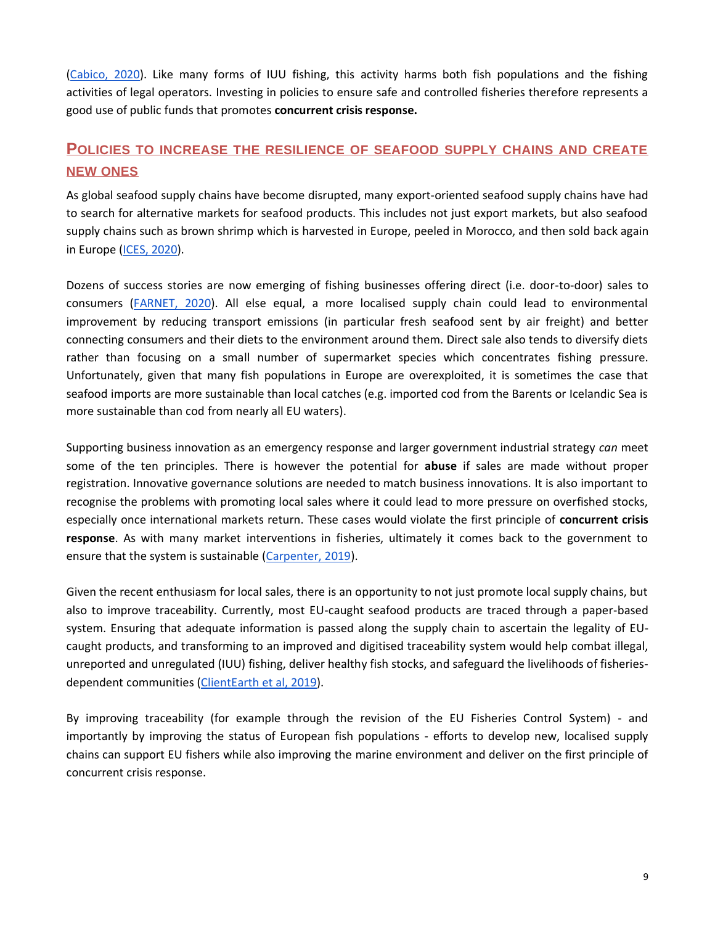[\(Cabico, 2020\)](https://www.philstar.com/nation/2020/04/02/2005101/oceana-commercial-fishing-boats-seen-municipal-waters-govt-preoccupied-covid-19-fight). Like many forms of IUU fishing, this activity harms both fish populations and the fishing activities of legal operators. Investing in policies to ensure safe and controlled fisheries therefore represents a good use of public funds that promotes **concurrent crisis response.**

# **POLICIES TO INCREASE THE RESILIENCE OF SEAFOOD SUPPLY CHAINS AND CREATE NEW ONES**

As global seafood supply chains have become disrupted, many export-oriented seafood supply chains have had to search for alternative markets for seafood products. This includes not just export markets, but also seafood supply chains such as brown shrimp which is harvested in Europe, peeled in Morocco, and then sold back again in Europe [\(ICES, 2020\)](http://ices.dk/news-and-events/news-archive/news/Pages/wgsocialCOVID.aspx).

Dozens of success stories are now emerging of fishing businesses offering direct (i.e. door-to-door) sales to consumers [\(FARNET, 2020\)](https://webgate.ec.europa.eu/fpfis/cms/farnet2/news-events/news/covid-19-flag-response-message-board_en). All else equal, a more localised supply chain could lead to environmental improvement by reducing transport emissions (in particular fresh seafood sent by air freight) and better connecting consumers and their diets to the environment around them. Direct sale also tends to diversify diets rather than focusing on a small number of supermarket species which concentrates fishing pressure. Unfortunately, given that many fish populations in Europe are overexploited, it is sometimes the case that seafood imports are more sustainable than local catches (e.g. imported cod from the Barents or Icelandic Sea is more sustainable than cod from nearly all EU waters).

Supporting business innovation as an emergency response and larger government industrial strategy *can* meet some of the ten principles. There is however the potential for **abuse** if sales are made without proper registration. Innovative governance solutions are needed to match business innovations. It is also important to recognise the problems with promoting local sales where it could lead to more pressure on overfished stocks, especially once international markets return. These cases would violate the first principle of **concurrent crisis response**. As with many market interventions in fisheries, ultimately it comes back to the government to ensure that the system is sustainable [\(Carpenter, 2019\)](https://neweconomics.org/2019/06/the-limits-of-labels).

Given the recent enthusiasm for local sales, there is an opportunity to not just promote local supply chains, but also to improve traceability. Currently, most EU-caught seafood products are traced through a paper-based system. Ensuring that adequate information is passed along the supply chain to ascertain the legality of EUcaught products, and transforming to an improved and digitised traceability system would help combat illegal, unreported and unregulated (IUU) fishing, deliver healthy fish stocks, and safeguard the livelihoods of fisheriesdependent communities [\(ClientEarth et al, 2019\)](https://our.fish/wp-content/uploads/2020/03/Joint-NGO-position-paper-on-the-revision-of-the-EU-Fisheries-Control-System_updated_28.10.19.pdf).

By improving traceability (for example through the revision of the EU Fisheries Control System) - and importantly by improving the status of European fish populations - efforts to develop new, localised supply chains can support EU fishers while also improving the marine environment and deliver on the first principle of concurrent crisis response.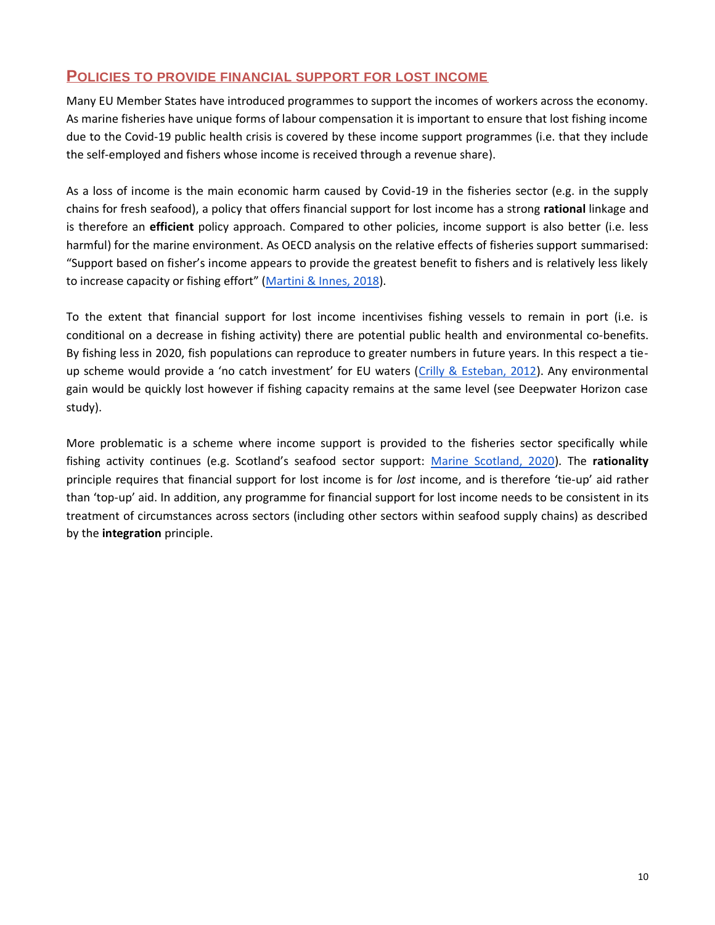# **POLICIES TO PROVIDE FINANCIAL SUPPORT FOR LOST INCOME**

Many EU Member States have introduced programmes to support the incomes of workers across the economy. As marine fisheries have unique forms of labour compensation it is important to ensure that lost fishing income due to the Covid-19 public health crisis is covered by these income support programmes (i.e. that they include the self-employed and fishers whose income is received through a revenue share).

As a loss of income is the main economic harm caused by Covid-19 in the fisheries sector (e.g. in the supply chains for fresh seafood), a policy that offers financial support for lost income has a strong **rational** linkage and is therefore an **efficient** policy approach. Compared to other policies, income support is also better (i.e. less harmful) for the marine environment. As OECD analysis on the relative effects of fisheries support summarised: "Support based on fisher's income appears to provide the greatest benefit to fishers and is relatively less likely to increase capacity or fishing effort" ([Martini & Innes, 2018\)](https://www.oecd-ilibrary.org/agriculture-and-food/relative-effects-of-fisheries-support-policies_bd9b0dc3-en).

To the extent that financial support for lost income incentivises fishing vessels to remain in port (i.e. is conditional on a decrease in fishing activity) there are potential public health and environmental co-benefits. By fishing less in 2020, fish populations can reproduce to greater numbers in future years. In this respect a tieup scheme would provide a 'no catch investment' for EU waters ([Crilly & Esteban, 2012\)](https://neweconomics.org/2012/09/no-catch-investment). Any environmental gain would be quickly lost however if fishing capacity remains at the same level (see Deepwater Horizon case study).

More problematic is a scheme where income support is provided to the fisheries sector specifically while fishing activity continues (e.g. Scotland's seafood sector support: [Marine Scotland, 2020\)](https://www.gov.scot/news/support-for-seafood-fishing-industry/). The **rationality**  principle requires that financial support for lost income is for *lost* income, and is therefore 'tie-up' aid rather than 'top-up' aid. In addition, any programme for financial support for lost income needs to be consistent in its treatment of circumstances across sectors (including other sectors within seafood supply chains) as described by the **integration** principle.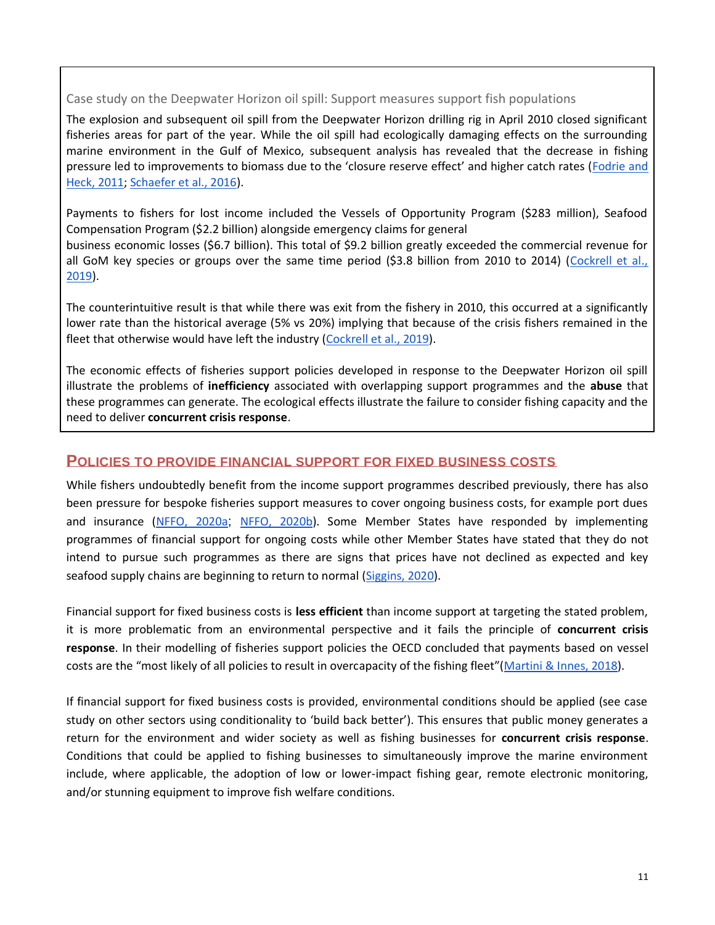#### Case study on the Deepwater Horizon oil spill: Support measures support fish populations

The explosion and subsequent oil spill from the Deepwater Horizon drilling rig in April 2010 closed significant fisheries areas for part of the year. While the oil spill had ecologically damaging effects on the surrounding marine environment in the Gulf of Mexico, subsequent analysis has revealed that the decrease in fishing pressure led to improvements to biomass due to the 'closure reserve effect' and higher catch rates (Fodrie and [Heck, 2011;](https://journals.plos.org/plosone/article?id=10.1371/journal.pone.0021609) [Schaefer et al., 2016\)](https://www.tandfonline.com/doi/abs/10.1080/00028487.2015.1111253).

Payments to fishers for lost income included the Vessels of Opportunity Program (\$283 million), Seafood Compensation Program (\$2.2 billion) alongside emergency claims for general business economic losses (\$6.7 billion). This total of \$9.2 billion greatly exceeded the commercial revenue for all GoM key species or groups over the same time period (\$3.8 billion from 2010 to 2014) [\(Cockrell et al.,](https://www.sciencedirect.com/science/article/abs/pii/S0165783619301146)  [2019\)](https://www.sciencedirect.com/science/article/abs/pii/S0165783619301146).

The counterintuitive result is that while there was exit from the fishery in 2010, this occurred at a significantly lower rate than the historical average (5% vs 20%) implying that because of the crisis fishers remained in the fleet that otherwise would have left the industry [\(Cockrell et al., 2019\)](https://www.sciencedirect.com/science/article/abs/pii/S0165783619301146).

The economic effects of fisheries support policies developed in response to the Deepwater Horizon oil spill illustrate the problems of **inefficiency** associated with overlapping support programmes and the **abuse** that these programmes can generate. The ecological effects illustrate the failure to consider fishing capacity and the need to deliver **concurrent crisis response**.

#### **POLICIES TO PROVIDE FINANCIAL SUPPORT FOR FIXED BUSINESS COSTS**

While fishers undoubtedly benefit from the income support programmes described previously, there has also been pressure for bespoke fisheries support measures to cover ongoing business costs, for example port dues and insurance [\(NFFO, 2020a](https://nffo.org.uk/news/financial-support-package.html); [NFFO, 2020b\)](https://nffo.org.uk/news/pressure-mounts-on-government-for-fishing-support-package.html). Some Member States have responded by implementing programmes of financial support for ongoing costs while other Member States have stated that they do not intend to pursue such programmes as there are signs that prices have not declined as expected and key seafood supply chains are beginning to return to normal [\(Siggins, 2020\)](https://www.thetimes.co.uk/article/marine-minister-michael-creed-resists-lure-of-eu-fishing-lifeline-5xdljj92s).

Financial support for fixed business costs is **less efficient** than income support at targeting the stated problem, it is more problematic from an environmental perspective and it fails the principle of **concurrent crisis response**. In their modelling of fisheries support policies the OECD concluded that payments based on vessel costs are the "most likely of all policies to result in overcapacity of the fishing fleet"([Martini & Innes, 2018\)](https://www.oecd-ilibrary.org/agriculture-and-food/relative-effects-of-fisheries-support-policies_bd9b0dc3-en).

If financial support for fixed business costs is provided, environmental conditions should be applied (see case study on other sectors using conditionality to 'build back better'). This ensures that public money generates a return for the environment and wider society as well as fishing businesses for **concurrent crisis response**. Conditions that could be applied to fishing businesses to simultaneously improve the marine environment include, where applicable, the adoption of low or lower-impact fishing gear, remote electronic monitoring, and/or stunning equipment to improve fish welfare conditions.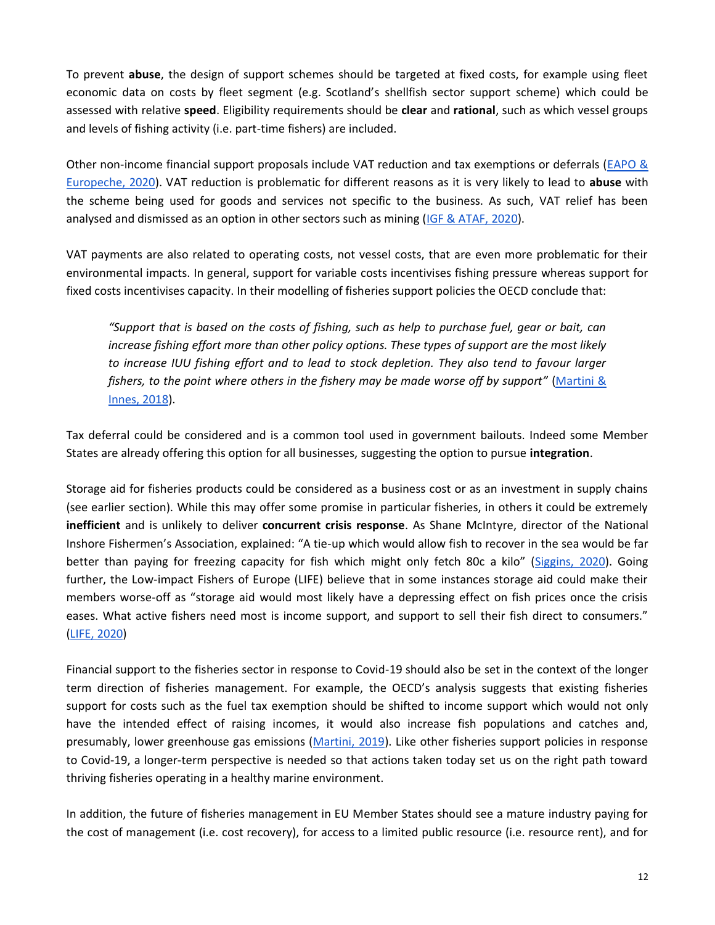To prevent **abuse**, the design of support schemes should be targeted at fixed costs, for example using fleet economic data on costs by fleet segment (e.g. Scotland's shellfish sector support scheme) which could be assessed with relative **speed**. Eligibility requirements should be **clear** and **rational**, such as which vessel groups and levels of fishing activity (i.e. part-time fishers) are included.

Other non-income financial support proposals include VAT reduction and tax exemptions or deferrals [\(EAPO &](http://europeche.chil.me/attachment/467b47ab-150a-4ef5-b397-f36c309a2d0b)  [Europeche, 2020\)](http://europeche.chil.me/attachment/467b47ab-150a-4ef5-b397-f36c309a2d0b). VAT reduction is problematic for different reasons as it is very likely to lead to **abuse** with the scheme being used for goods and services not specific to the business. As such, VAT relief has been analysed and dismissed as an option in other sectors such as mining [\(IGF & ATAF, 2020\)](https://www.iisd.org/library/mining-tax-policy-responses-covid-19).

VAT payments are also related to operating costs, not vessel costs, that are even more problematic for their environmental impacts. In general, support for variable costs incentivises fishing pressure whereas support for fixed costs incentivises capacity. In their modelling of fisheries support policies the OECD conclude that:

*"Support that is based on the costs of fishing, such as help to purchase fuel, gear or bait, can increase fishing effort more than other policy options. These types of support are the most likely to increase IUU fishing effort and to lead to stock depletion. They also tend to favour larger fishers, to the point where others in the fishery may be made worse off by support"* [\(Martini &](https://www.oecd-ilibrary.org/agriculture-and-food/relative-effects-of-fisheries-support-policies_bd9b0dc3-en)  [Innes, 2018\)](https://www.oecd-ilibrary.org/agriculture-and-food/relative-effects-of-fisheries-support-policies_bd9b0dc3-en).

Tax deferral could be considered and is a common tool used in government bailouts. Indeed some Member States are already offering this option for all businesses, suggesting the option to pursue **integration**.

Storage aid for fisheries products could be considered as a business cost or as an investment in supply chains (see earlier section). While this may offer some promise in particular fisheries, in others it could be extremely **inefficient** and is unlikely to deliver **concurrent crisis response**. As Shane McIntyre, director of the National Inshore Fishermen's Association, explained: "A tie-up which would allow fish to recover in the sea would be far better than paying for freezing capacity for fish which might only fetch 80c a kilo" ([Siggins, 2020\)](https://www.thetimes.co.uk/article/marine-minister-michael-creed-resists-lure-of-eu-fishing-lifeline-5xdljj92s). Going further, the Low-impact Fishers of Europe (LIFE) believe that in some instances storage aid could make their members worse-off as "storage aid would most likely have a depressing effect on fish prices once the crisis eases. What active fishers need most is income support, and support to sell their fish direct to consumers." [\(LIFE, 2020\)](https://lifeplatform.eu/covid-19-and-small-scale-fisheries/)

Financial support to the fisheries sector in response to Covid-19 should also be set in the context of the longer term direction of fisheries management. For example, the OECD's analysis suggests that existing fisheries support for costs such as the fuel tax exemption should be shifted to income support which would not only have the intended effect of raising incomes, it would also increase fish populations and catches and, presumably, lower greenhouse gas emissions [\(Martini, 2019\)](https://www.oecd.org/agriculture/government-subsidies-overfishing/). Like other fisheries support policies in response to Covid-19, a longer-term perspective is needed so that actions taken today set us on the right path toward thriving fisheries operating in a healthy marine environment.

In addition, the future of fisheries management in EU Member States should see a mature industry paying for the cost of management (i.e. cost recovery), for access to a limited public resource (i.e. resource rent), and for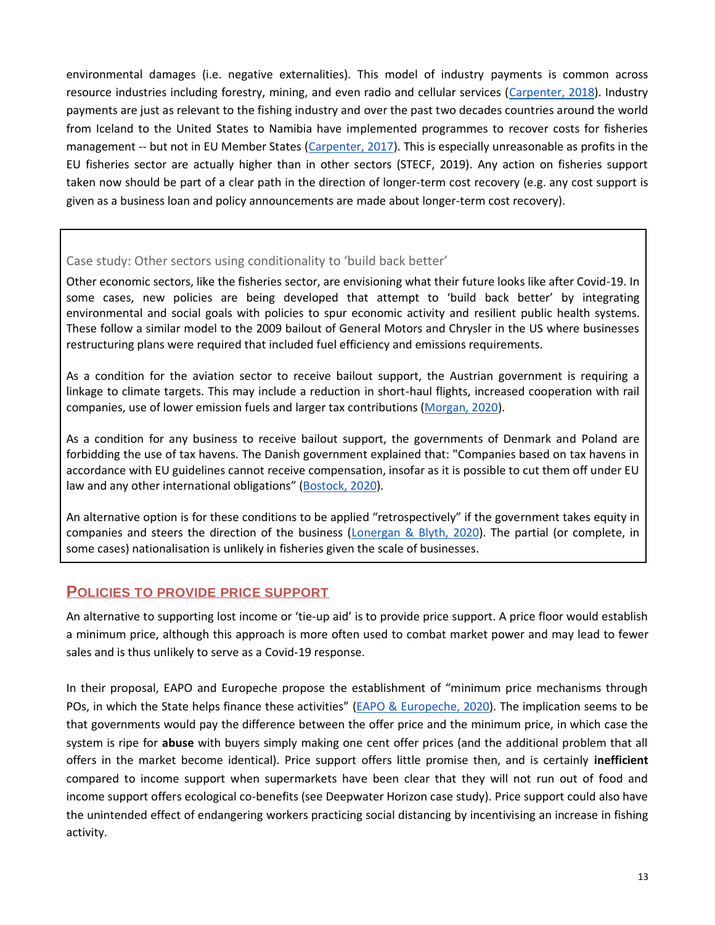environmental damages (i.e. negative externalities). This model of industry payments is common across resource industries including forestry, mining, and even radio and cellular services [\(Carpenter, 2018\)](https://neweconomics.org/2018/08/management-costs). Industry payments are just as relevant to the fishing industry and over the past two decades countries around the world from Iceland to the United States to Namibia have implemented programmes to recover costs for fisheries management -- but not in EU Member States [\(Carpenter, 2017\)](https://neweconomics.org/2017/03/who-gets-to-fish). This is especially unreasonable as profits in the EU fisheries sector are actually higher than in other sectors (STECF, 2019). Any action on fisheries support taken now should be part of a clear path in the direction of longer-term cost recovery (e.g. any cost support is given as a business loan and policy announcements are made about longer-term cost recovery).

#### Case study: Other sectors using conditionality to 'build back better'

Other economic sectors, like the fisheries sector, are envisioning what their future looks like after Covid-19. In some cases, new policies are being developed that attempt to 'build back better' by integrating environmental and social goals with policies to spur economic activity and resilient public health systems. These follow a similar model to the 2009 bailout of General Motors and Chrysler in the US where businesses restructuring plans were required that included fuel efficiency and emissions requirements.

As a condition for the aviation sector to receive bailout support, the Austrian government is requiring a linkage to climate targets. This may include a reduction in short-haul flights, increased cooperation with rail companies, use of lower emission fuels and larger tax contributions [\(Morgan, 2020\)](https://www.euractiv.com/section/aviation/news/austrian-airlines-bailout-to-be-linked-to-climate-targets/).

As a condition for any business to receive bailout support, the governments of Denmark and Poland are forbidding the use of tax havens. The Danish government explained that: "Companies based on tax havens in accordance with EU guidelines cannot receive compensation, insofar as it is possible to cut them off under EU law and any other international obligations" ([Bostock, 2020\)](https://www.businessinsider.com/coronavirus-companies-tax-havens-banned-denmark-poland-bailout-2020-4?r=US&IR=T).

An alternative option is for these conditions to be applied "retrospectively" if the government takes equity in companies and steers the direction of the business [\(Lonergan & Blyth, 2020\)](https://www.ippr.org/research/publications/beyond-bailouts). The partial (or complete, in some cases) nationalisation is unlikely in fisheries given the scale of businesses.

# **POLICIES TO PROVIDE PRICE SUPPORT**

An alternative to supporting lost income or 'tie-up aid' is to provide price support. A price floor would establish a minimum price, although this approach is more often used to combat market power and may lead to fewer sales and is thus unlikely to serve as a Covid-19 response.

In their proposal, EAPO and Europeche propose the establishment of "minimum price mechanisms through POs, in which the State helps finance these activities" [\(EAPO & Europeche, 2020\)](http://europeche.chil.me/attachment/467b47ab-150a-4ef5-b397-f36c309a2d0b). The implication seems to be that governments would pay the difference between the offer price and the minimum price, in which case the system is ripe for **abuse** with buyers simply making one cent offer prices (and the additional problem that all offers in the market become identical). Price support offers little promise then, and is certainly **inefficient**  compared to income support when supermarkets have been clear that they will not run out of food and income support offers ecological co-benefits (see Deepwater Horizon case study). Price support could also have the unintended effect of endangering workers practicing social distancing by incentivising an increase in fishing activity.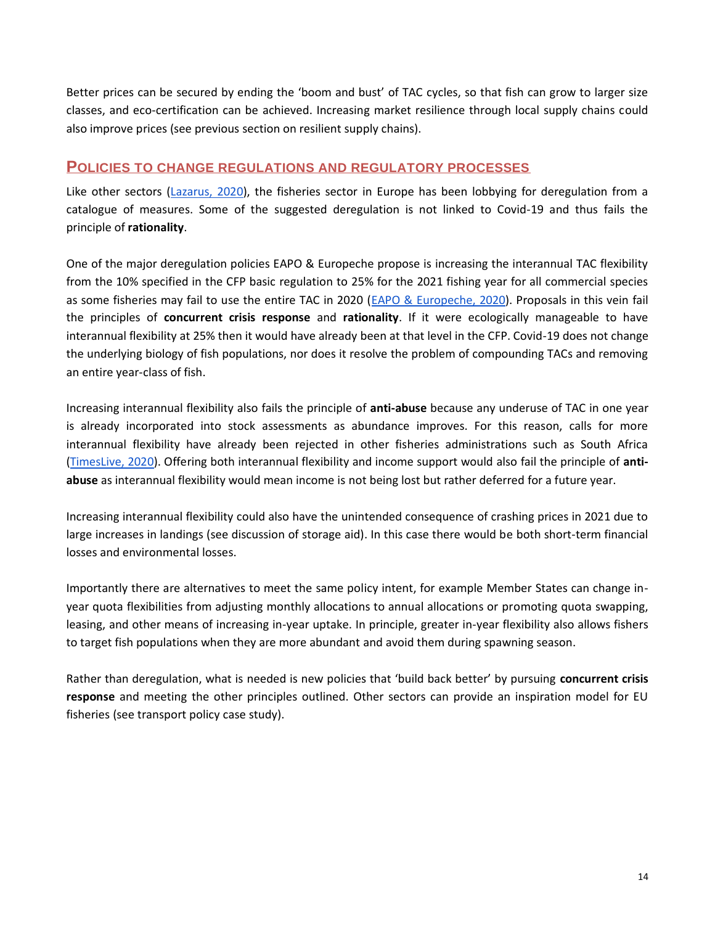Better prices can be secured by ending the 'boom and bust' of TAC cycles, so that fish can grow to larger size classes, and eco-certification can be achieved. Increasing market resilience through local supply chains could also improve prices (see previous section on resilient supply chains).

## **POLICIES TO CHANGE REGULATIONS AND REGULATORY PROCESSES**

Like other sectors [\(Lazarus, 2020\)](https://meta.eeb.org/2020/04/16/5-ways-opportunistic-lobbyists-are-using-coronavirus-to-attack-eu-environmental-laws/), the fisheries sector in Europe has been lobbying for deregulation from a catalogue of measures. Some of the suggested deregulation is not linked to Covid-19 and thus fails the principle of **rationality**.

One of the major deregulation policies EAPO & Europeche propose is increasing the interannual TAC flexibility from the 10% specified in the CFP basic regulation to 25% for the 2021 fishing year for all commercial species as some fisheries may fail to use the entire TAC in 2020 [\(EAPO & Europeche, 2020\)](http://europeche.chil.me/attachment/467b47ab-150a-4ef5-b397-f36c309a2d0b). Proposals in this vein fail the principles of **concurrent crisis response** and **rationality**. If it were ecologically manageable to have interannual flexibility at 25% then it would have already been at that level in the CFP. Covid-19 does not change the underlying biology of fish populations, nor does it resolve the problem of compounding TACs and removing an entire year-class of fish.

Increasing interannual flexibility also fails the principle of **anti-abuse** because any underuse of TAC in one year is already incorporated into stock assessments as abundance improves. For this reason, calls for more interannual flexibility have already been rejected in other fisheries administrations such as South Africa [\(TimesLive, 2020\)](https://www.timeslive.co.za/news/south-africa/2020-02-23-west-coast-rock-lobster-season-extended-as-coronavirus-knocks-exports-to-china/). Offering both interannual flexibility and income support would also fail the principle of **antiabuse** as interannual flexibility would mean income is not being lost but rather deferred for a future year.

Increasing interannual flexibility could also have the unintended consequence of crashing prices in 2021 due to large increases in landings (see discussion of storage aid). In this case there would be both short-term financial losses and environmental losses.

Importantly there are alternatives to meet the same policy intent, for example Member States can change inyear quota flexibilities from adjusting monthly allocations to annual allocations or promoting quota swapping, leasing, and other means of increasing in-year uptake. In principle, greater in-year flexibility also allows fishers to target fish populations when they are more abundant and avoid them during spawning season.

Rather than deregulation, what is needed is new policies that 'build back better' by pursuing **concurrent crisis response** and meeting the other principles outlined. Other sectors can provide an inspiration model for EU fisheries (see transport policy case study).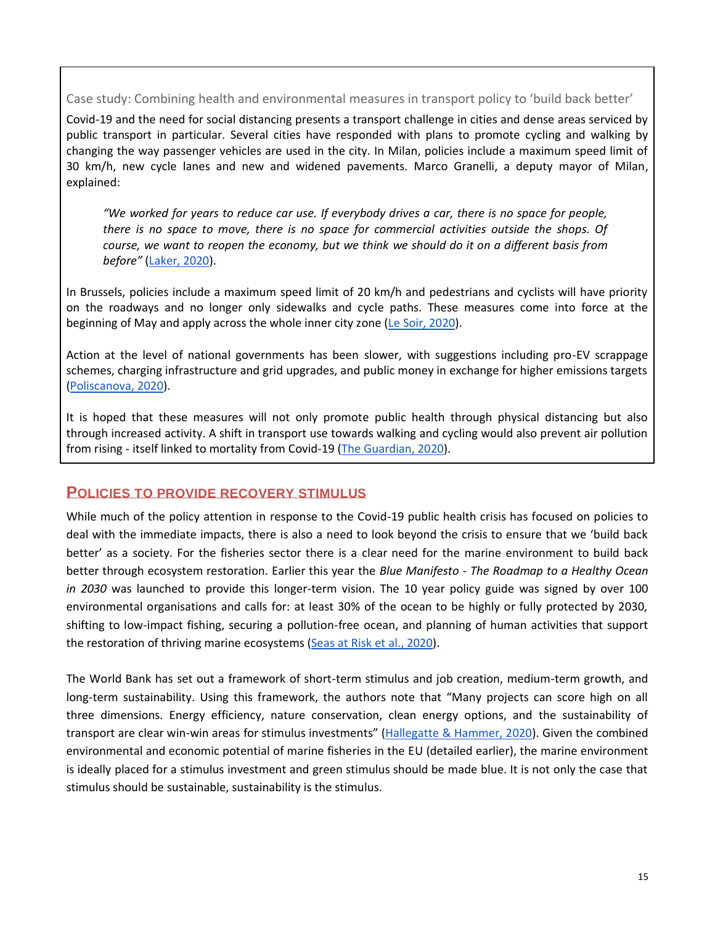Case study: Combining health and environmental measures in transport policy to 'build back better'

Covid-19 and the need for social distancing presents a transport challenge in cities and dense areas serviced by public transport in particular. Several cities have responded with plans to promote cycling and walking by changing the way passenger vehicles are used in the city. In Milan, policies include a maximum speed limit of 30 km/h, new cycle lanes and new and widened pavements. Marco Granelli, a deputy mayor of Milan, explained:

*"We worked for years to reduce car use. If everybody drives a car, there is no space for people, there is no space to move, there is no space for commercial activities outside the shops. Of course, we want to reopen the economy, but we think we should do it on a different basis from before"* [\(Laker, 2020\)](https://www.theguardian.com/world/2020/apr/21/milan-seeks-to-prevent-post-crisis-return-of-traffic-pollution?CMP=share_btn_tw).

In Brussels, policies include a maximum speed limit of 20 km/h and pedestrians and cyclists will have priority on the roadways and no longer only sidewalks and cycle paths. These measures come into force at the beginning of May and apply across the whole inner city zone [\(Le Soir, 2020\)](https://www.lesoir.be/295743/article/2020-04-20/pentagone-bruxelles-une-zone-20-avec-pietons-et-cyclistes-prioritaires).

Action at the level of national governments has been slower, with suggestions including pro-EV scrappage schemes, charging infrastructure and grid upgrades, and public money in exchange for higher emissions targets [\(Poliscanova, 2020\)](https://energypost.eu/covid-19-and-the-eu-car-industry-any-support-should-lock-in-ev-targets).

It is hoped that these measures will not only promote public health through physical distancing but also through increased activity. A shift in transport use towards walking and cycling would also prevent air pollution from rising - itself linked to mortality from Covid-19 [\(The Guardian, 2020\)](https://www.theguardian.com/commentisfree/2020/apr/21/the-guardian-view-on-covid-19-and-transport-walk-to-the-future).

# **POLICIES TO PROVIDE RECOVERY STIMULUS**

While much of the policy attention in response to the Covid-19 public health crisis has focused on policies to deal with the immediate impacts, there is also a need to look beyond the crisis to ensure that we 'build back better' as a society. For the fisheries sector there is a clear need for the marine environment to build back better through ecosystem restoration. Earlier this year the *Blue Manifesto - The Roadmap to a Healthy Ocean in 2030* was launched to provide this longer-term vision. The 10 year policy guide was signed by over 100 environmental organisations and calls for: at least 30% of the ocean to be highly or fully protected by 2030, shifting to low-impact fishing, securing a pollution-free ocean, and planning of human activities that support the restoration of thriving marine ecosystems [\(Seas at Risk et al., 2020\)](https://seas-at-risk.org/24-publications/1020-blue-manifesto-the-roadmap-to-a-healthy-ocean-in-2030.html).

The World Bank has set out a framework of short-term stimulus and job creation, medium-term growth, and long-term sustainability. Using this framework, the authors note that "Many projects can score high on all three dimensions. Energy efficiency, nature conservation, clean energy options, and the sustainability of transport are clear win-win areas for stimulus investments" ([Hallegatte & Hammer, 2020\)](https://blogs.worldbank.org/climatechange/thinking-ahead-sustainable-recovery-covid-19-coronavirus). Given the combined environmental and economic potential of marine fisheries in the EU (detailed earlier), the marine environment is ideally placed for a stimulus investment and green stimulus should be made blue. It is not only the case that stimulus should be sustainable, sustainability is the stimulus.